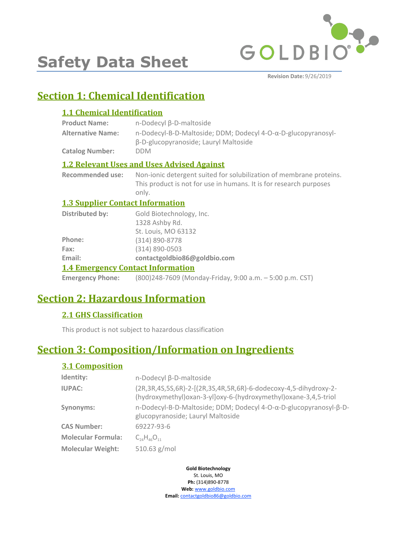

**Safety Data Sheet**

**Revision Date:** 9/26/2019

# **Section 1: Chemical Identification**

## **1.1 Chemical Identification**

| <b>Product Name:</b>     | $n$ -Dodecyl $\beta$ -D-maltoside                                                                      |
|--------------------------|--------------------------------------------------------------------------------------------------------|
| <b>Alternative Name:</b> | n-Dodecyl-B-D-Maltoside; DDM; Dodecyl 4-O-α-D-glucopyranosyl-<br>β-D-glucopyranoside; Lauryl Maltoside |
| <b>Catalog Number:</b>   | <b>DDM</b>                                                                                             |
|                          |                                                                                                        |

## **1.2 Relevant Uses and Uses Advised Against**

**Recommended use:** Non-ionic detergent suited for solubilization of membrane proteins. This product is not for use in humans. It is for research purposes only.

## **1.3 Supplier Contact Information**

| --                     |                              |
|------------------------|------------------------------|
| Email:                 | contactgoldbio86@goldbio.com |
| Fax:                   | $(314) 890 - 0503$           |
| Phone:                 | (314) 890-8778               |
|                        | St. Louis, MO 63132          |
|                        | 1328 Ashby Rd.               |
| <b>Distributed by:</b> | Gold Biotechnology, Inc.     |

## **1.4 Emergency Contact Information**

**Emergency Phone:** (800)248-7609 (Monday-Friday, 9:00 a.m. – 5:00 p.m. CST)

# **Section 2: Hazardous Information**

## **2.1 GHS Classification**

This product is not subject to hazardous classification

# **Section 3: Composition/Information on Ingredients**

## **3.1 Composition**

| Identity:                 | n-Dodecyl β-D-maltoside                                                                                                                         |
|---------------------------|-------------------------------------------------------------------------------------------------------------------------------------------------|
| <b>IUPAC:</b>             | (2R, 3R, 4S, 5S, 6R)-2-[(2R, 3S, 4R, 5R, 6R)-6-dodecoxy-4, 5-dihydroxy-2-<br>(hydroxymethyl) oxan-3-yl] oxy-6-(hydroxymethyl) oxane-3,4,5-triol |
| Synonyms:                 | n-Dodecyl-B-D-Maltoside; DDM; Dodecyl 4-O-α-D-glucopyranosyl-β-D-<br>glucopyranoside; Lauryl Maltoside                                          |
| <b>CAS Number:</b>        | 69227-93-6                                                                                                                                      |
| <b>Molecular Formula:</b> | $C_{24}H_{46}O_{11}$                                                                                                                            |
| <b>Molecular Weight:</b>  | 510.63 g/mol                                                                                                                                    |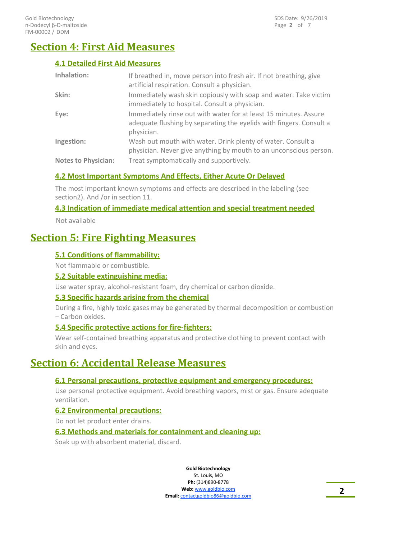# **Section 4: First Aid Measures**

## **4.1 Detailed First Aid Measures**

| <b>Inhalation:</b>         | If breathed in, move person into fresh air. If not breathing, give<br>artificial respiration. Consult a physician.                                    |
|----------------------------|-------------------------------------------------------------------------------------------------------------------------------------------------------|
| Skin:                      | Immediately wash skin copiously with soap and water. Take victim<br>immediately to hospital. Consult a physician.                                     |
| Eye:                       | Immediately rinse out with water for at least 15 minutes. Assure<br>adequate flushing by separating the eyelids with fingers. Consult a<br>physician. |
| Ingestion:                 | Wash out mouth with water. Drink plenty of water. Consult a<br>physician. Never give anything by mouth to an unconscious person.                      |
| <b>Notes to Physician:</b> | Treat symptomatically and supportively.                                                                                                               |

## **4.2 Most Important Symptoms And Effects, Either Acute Or Delayed**

The most important known symptoms and effects are described in the labeling (see section2). And /or in section 11.

## **4.3 Indication of immediate medical attention and special treatment needed**

Not available

## **Section 5: Fire Fighting Measures**

## **5.1 Conditions of flammability:**

Not flammable or combustible.

#### **5.2 Suitable extinguishing media:**

Use water spray, alcohol-resistant foam, dry chemical or carbon dioxide.

## **5.3 Specific hazards arising from the chemical**

During a fire, highly toxic gases may be generated by thermal decomposition or combustion – Carbon oxides.

## **5.4 Specific protective actions for fire-fighters:**

Wear self-contained breathing apparatus and protective clothing to prevent contact with skin and eyes.

## **Section 6: Accidental Release Measures**

## **6.1 Personal precautions, protective equipment and emergency procedures:**

Use personal protective equipment. Avoid breathing vapors, mist or gas. Ensure adequate ventilation.

#### **6.2 Environmental precautions:**

Do not let product enter drains.

#### **6.3 Methods and materials for containment and cleaning up:**

Soak up with absorbent material, discard.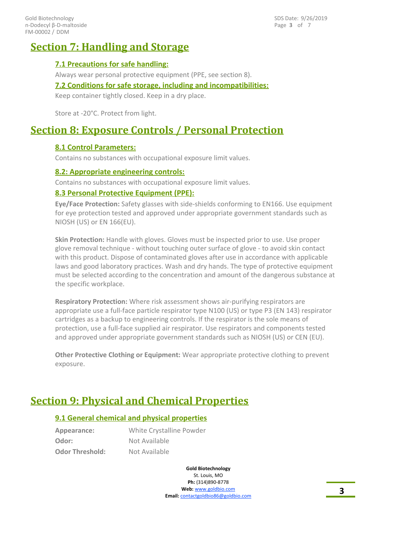Page **3** of 7 SDS Date: 9/26/2019

## **Section 7: Handling and Storage**

## **7.1 Precautions for safe handling:**

Always wear personal protective equipment (PPE, see section 8).

#### **7.2 Conditions for safe storage, including and incompatibilities:**

Keep container tightly closed. Keep in a dry place.

Store at -20°C. Protect from light.

# **Section 8: Exposure Controls / Personal Protection**

## **8.1 Control Parameters:**

Contains no substances with occupational exposure limit values.

#### **8.2: Appropriate engineering controls:**

Contains no substances with occupational exposure limit values.

#### **8.3 Personal Protective Equipment (PPE):**

**Eye/Face Protection:** Safety glasses with side-shields conforming to EN166. Use equipment for eye protection tested and approved under appropriate government standards such as NIOSH (US) or EN 166(EU).

**Skin Protection:** Handle with gloves. Gloves must be inspected prior to use. Use proper glove removal technique - without touching outer surface of glove - to avoid skin contact with this product. Dispose of contaminated gloves after use in accordance with applicable laws and good laboratory practices. Wash and dry hands. The type of protective equipment must be selected according to the concentration and amount of the dangerous substance at the specific workplace.

**Respiratory Protection:** Where risk assessment shows air-purifying respirators are appropriate use a full-face particle respirator type N100 (US) or type P3 (EN 143) respirator cartridges as a backup to engineering controls. If the respirator is the sole means of protection, use a full-face supplied air respirator. Use respirators and components tested and approved under appropriate government standards such as NIOSH (US) or CEN (EU).

**Other Protective Clothing or Equipment:** Wear appropriate protective clothing to prevent exposure.

# **Section 9: Physical and Chemical Properties**

## **9.1 General chemical and physical properties**

| Appearance:            | White Crystalline Powder |
|------------------------|--------------------------|
| Odor:                  | Not Available            |
| <b>Odor Threshold:</b> | Not Available            |

**Gold Biotechnology** St. Louis, MO **Ph:** (314)890-8778 **Web:** www.goldbio.com **Email:** contactgoldbio.com **3**<br>**Email:** contactgoldbio86@goldbio.com **3**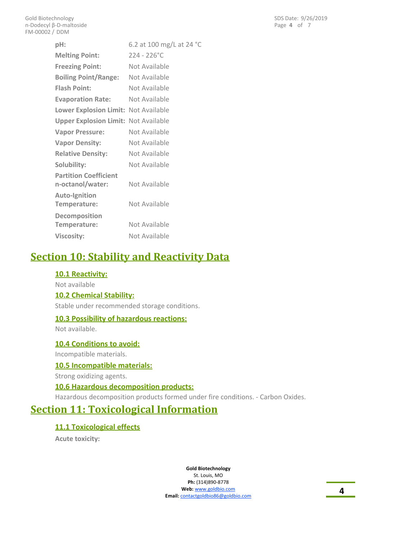Page **4** of 7 SDS Date: 9/26/2019

| pH:                                         | 6.2 at 100 mg/L at 24 °C |
|---------------------------------------------|--------------------------|
| <b>Melting Point:</b>                       | $224 - 226^{\circ}$ C    |
| <b>Freezing Point:</b>                      | Not Available            |
| <b>Boiling Point/Range:</b>                 | Not Available            |
| <b>Flash Point:</b>                         | Not Available            |
| <b>Evaporation Rate:</b>                    | Not Available            |
| Lower Explosion Limit: Not Available        |                          |
| <b>Upper Explosion Limit: Not Available</b> |                          |
| <b>Vapor Pressure:</b>                      | Not Available            |
| <b>Vapor Density:</b>                       | Not Available            |
| <b>Relative Density:</b>                    | Not Available            |
| Solubility:                                 | Not Available            |
| <b>Partition Coefficient</b>                |                          |
| n-octanol/water:                            | Not Available            |
| <b>Auto-Ignition</b>                        |                          |
| Temperature:                                | Not Available            |
| Decomposition                               |                          |
| Temperature:                                | Not Available            |
| <b>Viscosity:</b>                           | Not Available            |

# **Section 10: Stability and Reactivity Data**

## **10.1 Reactivity:**

Not available

#### **10.2 Chemical Stability:**

Stable under recommended storage conditions.

#### **10.3 Possibility of hazardous reactions:**

Not available.

#### **10.4 Conditions to avoid:**

Incompatible materials.

#### **10.5 Incompatible materials:**

Strong oxidizing agents.

## **10.6 Hazardous decomposition products:**

Hazardous decomposition products formed under fire conditions. - Carbon Oxides.

## **Section 11: Toxicological Information**

#### **11.1 Toxicological effects**

**Acute toxicity:**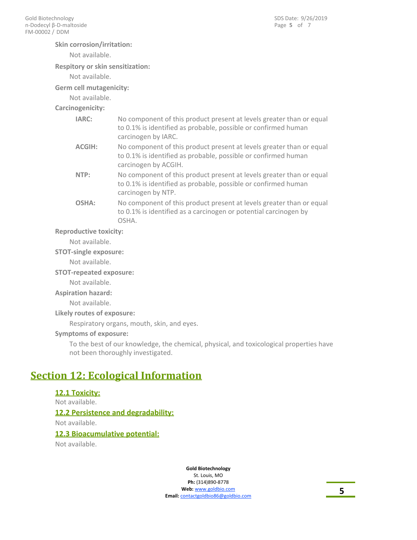#### **Skin corrosion/irritation:**

Not available.

#### **Respitory or skin sensitization:**

Not available.

#### **Germ cell mutagenicity:**

Not available.

#### **Carcinogenicity:**

| IARC:  | No component of this product present at levels greater than or equal<br>to 0.1% is identified as probable, possible or confirmed human<br>carcinogen by IARC.  |
|--------|----------------------------------------------------------------------------------------------------------------------------------------------------------------|
| ACGIH: | No component of this product present at levels greater than or equal<br>to 0.1% is identified as probable, possible or confirmed human<br>carcinogen by ACGIH. |
| NTP:   | No component of this product present at levels greater than or equal<br>to 0.1% is identified as probable, possible or confirmed human<br>carcinogen by NTP.   |
| OSHA:  | No component of this product present at levels greater than or equal                                                                                           |

to 0.1% is identified as a carcinogen or potential carcinogen by

## **Reproductive toxicity:**

Not available.

#### **STOT-single exposure:**

Not available.

**STOT-repeated exposure:**

Not available.

#### **Aspiration hazard:**

Not available.

**Likely routes of exposure:**

Respiratory organs, mouth, skin, and eyes.

OSHA.

#### **Symptoms of exposure:**

To the best of our knowledge, the chemical, physical, and toxicological properties have not been thoroughly investigated.

## **Section 12: Ecological Information**

#### **12.1 Toxicity:**

Not available. **12.2 Persistence and degradability:**

Not available.

#### **12.3 Bioacumulative potential:**

Not available.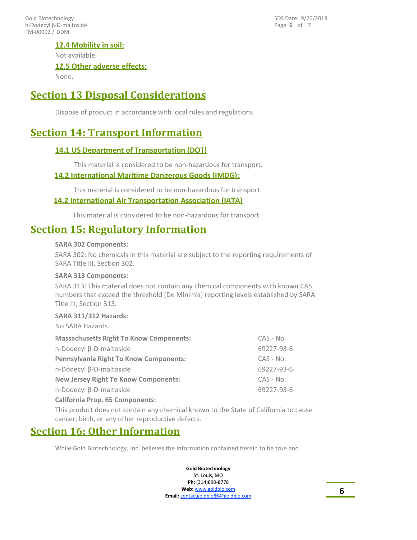FM-00002 / DDM Gold Biotechnology n-Dodecyl β-D-maltoside Page **6** of 7 SDS Date: 9/26/2019

## **12.4 Mobility in soil:**

Not available.

#### **12.5 Other adverse effects:**

None.

## **Section 13 Disposal Considerations**

Dispose of product in accordance with local rules and regulations.

# **Section 14: Transport Information**

## **14.1 US Department of Transportation (DOT)**

This material is considered to be non-hazardous for transport.

#### **14.2 International Maritime Dangerous Goods (IMDG):**

This material is considered to be non-hazardous for transport.

#### **14.2 International Air Transportation Association (IATA)**

This material is considered to be non-hazardous for transport.

## **Section 15: Regulatory Information**

#### **SARA 302 Components:**

SARA 302: No chemicals in this material are subject to the reporting requirements of SARA Title III, Section 302.

#### **SARA 313 Components:**

SARA 313: This material does not contain any chemical components with known CAS numbers that exceed the threshold (De Minimis) reporting levels established by SARA Title III, Section 313.

#### **SARA 311/312 Hazards:**

No SARA Hazards.

| <b>Massachusetts Right To Know Components:</b> | $CAS - No.$ |
|------------------------------------------------|-------------|
| n-Dodecyl β-D-maltoside                        | 69227-93-6  |
| <b>Pennsylvania Right To Know Components:</b>  | $CAS - No.$ |
| n-Dodecyl β-D-maltoside                        | 69227-93-6  |
| <b>New Jersey Right To Know Components:</b>    | $CAS - No.$ |
| n-Dodecyl β-D-maltoside                        | 69227-93-6  |
| <b>California Prop. 65 Components:</b>         |             |

This product does not contain any chemical known to the State of California to cause cancer, birth, or any other reproductive defects.

## **Section 16: Other Information**

While Gold Biotechnology, Inc. believes the information contained herein to be true and

**Gold Biotechnology** St. Louis, MO

**Ph:** (314)890-8778 **Web:** www.goldbio.com **Email:** contactgoldbio86@goldbio.com **6**